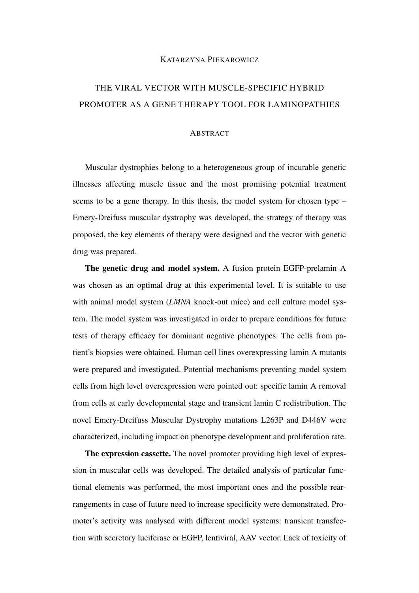## KATARZYNA PIEKAROWICZ

## THE VIRAL VECTOR WITH MUSCLE-SPECIFIC HYBRID PROMOTER AS A GENE THERAPY TOOL FOR LAMINOPATHIES

## **ABSTRACT**

Muscular dystrophies belong to a heterogeneous group of incurable genetic illnesses affecting muscle tissue and the most promising potential treatment seems to be a gene therapy. In this thesis, the model system for chosen type – Emery-Dreifuss muscular dystrophy was developed, the strategy of therapy was proposed, the key elements of therapy were designed and the vector with genetic drug was prepared.

The genetic drug and model system. A fusion protein EGFP-prelamin A was chosen as an optimal drug at this experimental level. It is suitable to use with animal model system (*LMNA* knock-out mice) and cell culture model system. The model system was investigated in order to prepare conditions for future tests of therapy efficacy for dominant negative phenotypes. The cells from patient's biopsies were obtained. Human cell lines overexpressing lamin A mutants were prepared and investigated. Potential mechanisms preventing model system cells from high level overexpression were pointed out: specific lamin A removal from cells at early developmental stage and transient lamin C redistribution. The novel Emery-Dreifuss Muscular Dystrophy mutations L263P and D446V were characterized, including impact on phenotype development and proliferation rate.

The expression cassette. The novel promoter providing high level of expression in muscular cells was developed. The detailed analysis of particular functional elements was performed, the most important ones and the possible rearrangements in case of future need to increase specificity were demonstrated. Promoter's activity was analysed with different model systems: transient transfection with secretory luciferase or EGFP, lentiviral, AAV vector. Lack of toxicity of